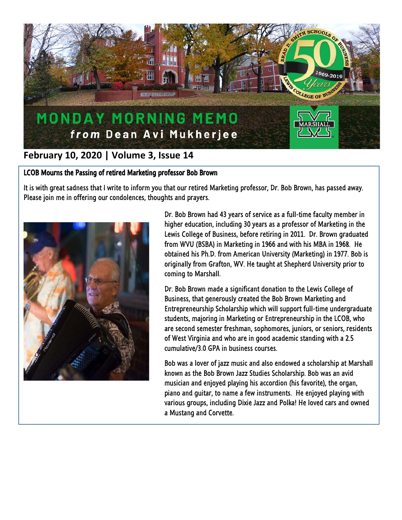

## **February 10, 2020 | Volume 3, Issue 14**

## LCOB Mourns the Passing of retired Marketing professor Bob Brown

It is with great sadness that I write to inform you that our retired Marketing professor, Dr. Bob Brown, has passed away. Please join me in offering our condolences, thoughts and prayers.



Dr. Bob Brown had 43 years of service as a full-time faculty member in higher education, including 30 years as a professor of Marketing in the Lewis College of Business, before retiring in 2011. Dr. Brown graduated from WVU (BSBA) in Marketing in 1966 and with his MBA in 1968. He obtained his Ph.D. from American University (Marketing) in 1977. Bob is originally from Grafton, WV. He taught at Shepherd University prior to coming to Marshall.

Dr. Bob Brown made a significant donation to the Lewis College of Business, that generously created the Bob Brown Marketing and Entrepreneurship Scholarship which will support full-time undergraduate students, majoring in Marketing or Entrepreneurship in the LCOB, who are second semester freshman, sophomores, juniors, or seniors, residents of West Virginia and who are in good academic standing with a 2.5 cumulative/3.0 GPA in business courses.

Bob was a lover of jazz music and also endowed a scholarship at Marshall known as the Bob Brown Jazz Studies Scholarship. Bob was an avid musician and enjoyed playing his accordion (his favorite), the organ, piano and guitar, to name a few instruments. He enjoyed playing with various groups, including Dixie Jazz and Polka! He loved cars and owned a Mustang and Corvette.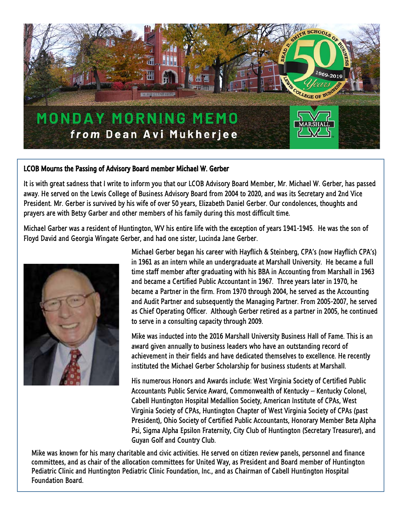

## LCOB Mourns the Passing of Advisory Board member Michael W. Gerber

It is with great sadness that I write to inform you that our LCOB Advisory Board Member, Mr. Michael W. Gerber, has passed away. He served on the Lewis College of Business Advisory Board from 2004 to 2020, and was its Secretary and 2nd Vice President. Mr. Gerber is survived by his wife of over 50 years, Elizabeth Daniel Gerber. Our condolences, thoughts and prayers are with Betsy Garber and other members of his family during this most difficult time.

Michael Garber was a resident of Huntington, WV his entire life with the exception of years 1941-1945. He was the son of Floyd David and Georgia Wingate Gerber, and had one sister, Lucinda Jane Gerber.



Michael Gerber began his career with Hayflich & Steinberg, CPA's (now Hayflich CPA's) in 1961 as an intern while an undergraduate at Marshall University. He became a full time staff member after graduating with his BBA in Accounting from Marshall in 1963 and became a Certified Public Accountant in 1967. Three years later in 1970, he became a Partner in the firm. From 1970 through 2004, he served as the Accounting and Audit Partner and subsequently the Managing Partner. From 2005-2007, he served as Chief Operating Officer. Although Gerber retired as a partner in 2005, he continued to serve in a consulting capacity through 2009.

Mike was inducted into the 2016 Marshall University Business Hall of Fame. This is an award given annually to business leaders who have an outstanding record of achievement in their fields and have dedicated themselves to excellence. He recently instituted the Michael Gerber Scholarship for business students at Marshall.

His numerous Honors and Awards include: West Virginia Society of Certified Public Accountants Public Service Award, Commonwealth of Kentucky – Kentucky Colonel, Cabell Huntington Hospital Medallion Society, American Institute of CPAs, West Virginia Society of CPAs, Huntington Chapter of West Virginia Society of CPAs (past President), Ohio Society of Certified Public Accountants, Honorary Member Beta Alpha Psi, Sigma Alpha Epsilon Fraternity, City Club of Huntington (Secretary Treasurer), and Guyan Golf and Country Club.

Mike was known for his many charitable and civic activities. He served on citizen review panels, personnel and finance committees, and as chair of the allocation committees for United Way, as President and Board member of Huntington Pediatric Clinic and Huntington Pediatric Clinic Foundation, Inc., and as Chairman of Cabell Huntington Hospital Foundation Board.